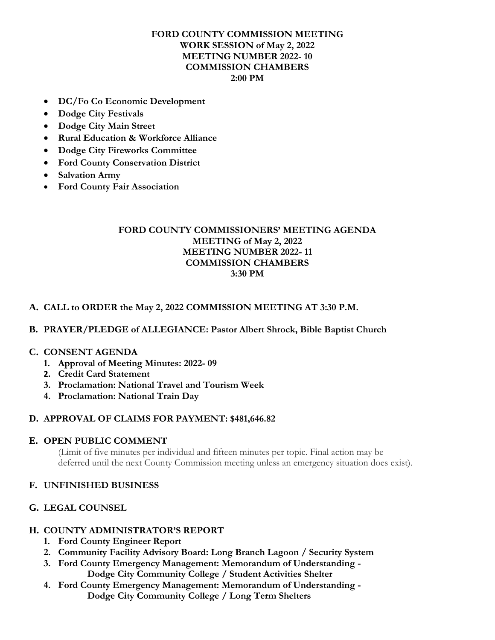#### **FORD COUNTY COMMISSION MEETING WORK SESSION of May 2, 2022 MEETING NUMBER 2022- 10 COMMISSION CHAMBERS 2:00 PM**

- **DC/Fo Co Economic Development**
- **Dodge City Festivals**
- **Dodge City Main Street**
- **Rural Education & Workforce Alliance**
- **Dodge City Fireworks Committee**
- **Ford County Conservation District**
- **Salvation Army**
- **Ford County Fair Association**

## **FORD COUNTY COMMISSIONERS' MEETING AGENDA MEETING of May 2, 2022 MEETING NUMBER 2022- 11 COMMISSION CHAMBERS 3:30 PM**

## **A. CALL to ORDER the May 2, 2022 COMMISSION MEETING AT 3:30 P.M.**

### **B. PRAYER/PLEDGE of ALLEGIANCE: Pastor Albert Shrock, Bible Baptist Church**

### **C. CONSENT AGENDA**

- **1. Approval of Meeting Minutes: 2022- 09**
- **2. Credit Card Statement**
- **3. Proclamation: National Travel and Tourism Week**
- **4. Proclamation: National Train Day**

### **D. APPROVAL OF CLAIMS FOR PAYMENT: \$481,646.82**

### **E. OPEN PUBLIC COMMENT**

(Limit of five minutes per individual and fifteen minutes per topic. Final action may be deferred until the next County Commission meeting unless an emergency situation does exist).

# **F. UNFINISHED BUSINESS**

### **G. LEGAL COUNSEL**

### **H. COUNTY ADMINISTRATOR'S REPORT**

- **1. Ford County Engineer Report**
- **2. Community Facility Advisory Board: Long Branch Lagoon / Security System**
- **3. Ford County Emergency Management: Memorandum of Understanding - Dodge City Community College / Student Activities Shelter**
- **4. Ford County Emergency Management: Memorandum of Understanding - Dodge City Community College / Long Term Shelters**